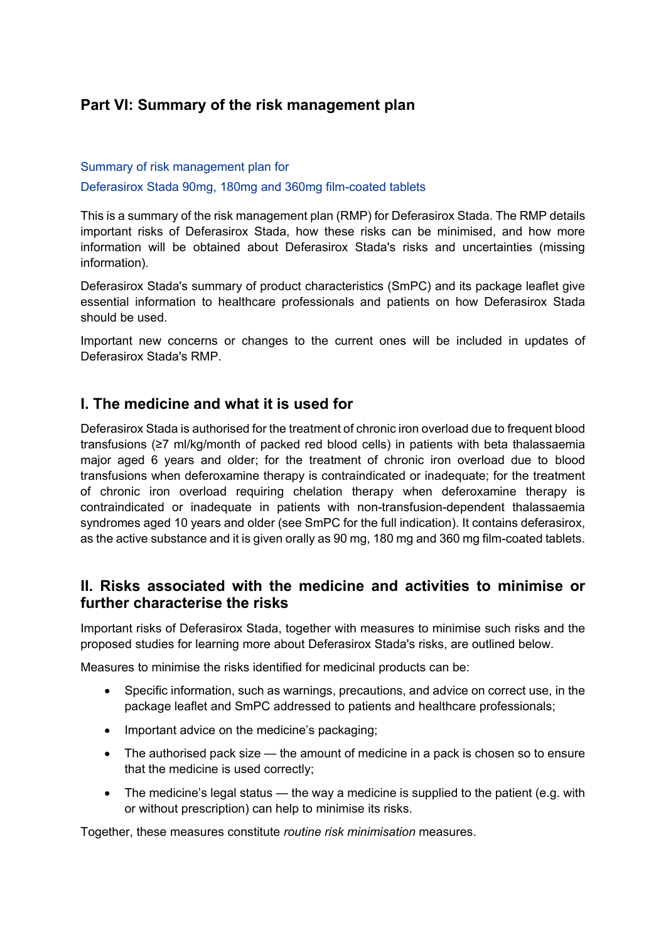# **Part VI: Summary of the risk management plan**

### Summary of risk management plan for

Deferasirox Stada 90mg, 180mg and 360mg film-coated tablets

This is a summary of the risk management plan (RMP) for Deferasirox Stada. The RMP details important risks of Deferasirox Stada, how these risks can be minimised, and how more information will be obtained about Deferasirox Stada's risks and uncertainties (missing information).

Deferasirox Stada's summary of product characteristics (SmPC) and its package leaflet give essential information to healthcare professionals and patients on how Deferasirox Stada should be used.

Important new concerns or changes to the current ones will be included in updates of Deferasirox Stada's RMP.

## **I. The medicine and what it is used for**

Deferasirox Stada is authorised for the treatment of chronic iron overload due to frequent blood transfusions (≥7 ml/kg/month of packed red blood cells) in patients with beta thalassaemia major aged 6 years and older; for the treatment of chronic iron overload due to blood transfusions when deferoxamine therapy is contraindicated or inadequate; for the treatment of chronic iron overload requiring chelation therapy when deferoxamine therapy is contraindicated or inadequate in patients with non-transfusion-dependent thalassaemia syndromes aged 10 years and older (see SmPC for the full indication). It contains deferasirox, as the active substance and it is given orally as 90 mg, 180 mg and 360 mg film-coated tablets.

## **II. Risks associated with the medicine and activities to minimise or further characterise the risks**

Important risks of Deferasirox Stada, together with measures to minimise such risks and the proposed studies for learning more about Deferasirox Stada's risks, are outlined below.

Measures to minimise the risks identified for medicinal products can be:

- Specific information, such as warnings, precautions, and advice on correct use, in the package leaflet and SmPC addressed to patients and healthcare professionals;
- Important advice on the medicine's packaging;
- The authorised pack size the amount of medicine in a pack is chosen so to ensure that the medicine is used correctly;
- The medicine's legal status the way a medicine is supplied to the patient (e.g. with or without prescription) can help to minimise its risks.

Together, these measures constitute *routine risk minimisation* measures.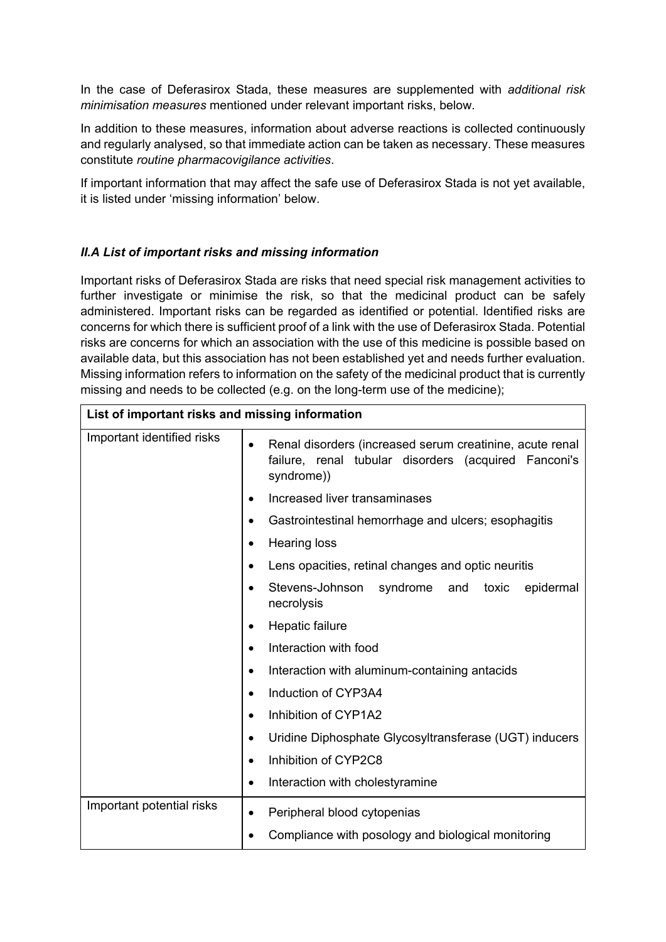In the case of Deferasirox Stada, these measures are supplemented with *additional risk minimisation measures* mentioned under relevant important risks, below.

In addition to these measures, information about adverse reactions is collected continuously and regularly analysed, so that immediate action can be taken as necessary. These measures constitute *routine pharmacovigilance activities*.

If important information that may affect the safe use of Deferasirox Stada is not yet available, it is listed under 'missing information' below.

### *II.A List of important risks and missing information*

Important risks of Deferasirox Stada are risks that need special risk management activities to further investigate or minimise the risk, so that the medicinal product can be safely administered. Important risks can be regarded as identified or potential. Identified risks are concerns for which there is sufficient proof of a link with the use of Deferasirox Stada. Potential risks are concerns for which an association with the use of this medicine is possible based on available data, but this association has not been established yet and needs further evaluation. Missing information refers to information on the safety of the medicinal product that is currently missing and needs to be collected (e.g. on the long-term use of the medicine);

| List of important risks and missing information |                                                                                                                                             |
|-------------------------------------------------|---------------------------------------------------------------------------------------------------------------------------------------------|
| Important identified risks                      | Renal disorders (increased serum creatinine, acute renal<br>$\bullet$<br>failure, renal tubular disorders (acquired Fanconi's<br>syndrome)) |
|                                                 | Increased liver transaminases                                                                                                               |
|                                                 | Gastrointestinal hemorrhage and ulcers; esophagitis                                                                                         |
|                                                 | <b>Hearing loss</b>                                                                                                                         |
|                                                 | Lens opacities, retinal changes and optic neuritis                                                                                          |
|                                                 | Stevens-Johnson<br>syndrome<br>toxic<br>epidermal<br>and<br>necrolysis                                                                      |
|                                                 | Hepatic failure<br>٠                                                                                                                        |
|                                                 | Interaction with food<br>$\bullet$                                                                                                          |
|                                                 | Interaction with aluminum-containing antacids                                                                                               |
|                                                 | Induction of CYP3A4                                                                                                                         |
|                                                 | Inhibition of CYP1A2<br>$\bullet$                                                                                                           |
|                                                 | Uridine Diphosphate Glycosyltransferase (UGT) inducers<br>$\bullet$                                                                         |
|                                                 | Inhibition of CYP2C8<br>$\bullet$                                                                                                           |
|                                                 | Interaction with cholestyramine<br>$\bullet$                                                                                                |
| Important potential risks                       | Peripheral blood cytopenias<br>٠<br>Compliance with posology and biological monitoring                                                      |
|                                                 |                                                                                                                                             |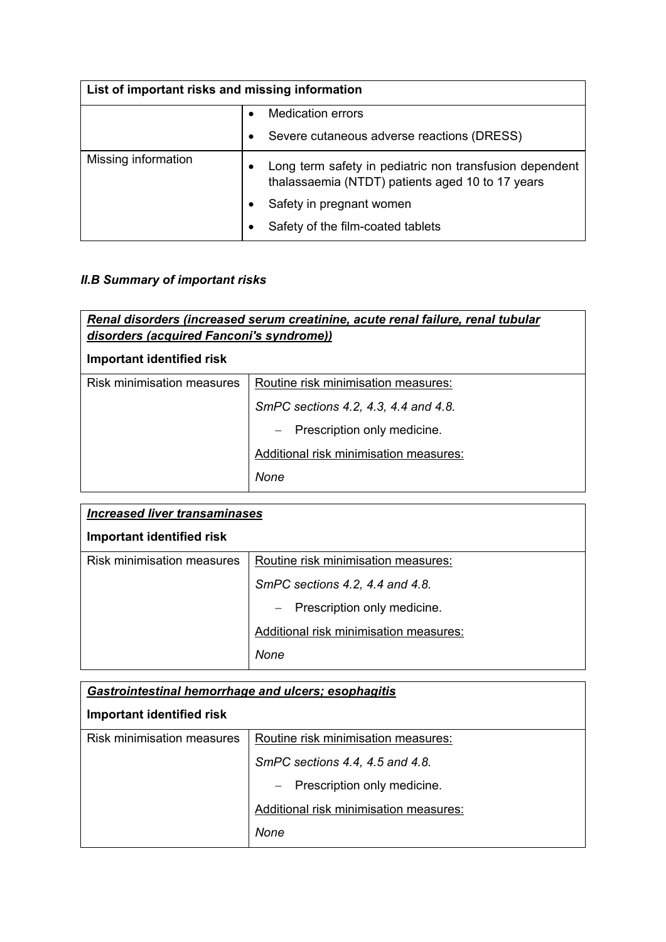| List of important risks and missing information |                                                                                                             |
|-------------------------------------------------|-------------------------------------------------------------------------------------------------------------|
|                                                 | Medication errors                                                                                           |
|                                                 | Severe cutaneous adverse reactions (DRESS)<br>$\bullet$                                                     |
| Missing information                             | Long term safety in pediatric non transfusion dependent<br>thalassaemia (NTDT) patients aged 10 to 17 years |
|                                                 | Safety in pregnant women                                                                                    |
|                                                 | Safety of the film-coated tablets                                                                           |

# *II.B Summary of important risks*

| Renal disorders (increased serum creatinine, acute renal failure, renal tubular<br>disorders (acquired Fanconi's syndrome))<br>Important identified risk |                                                         |
|----------------------------------------------------------------------------------------------------------------------------------------------------------|---------------------------------------------------------|
| Risk minimisation measures                                                                                                                               | Routine risk minimisation measures:                     |
|                                                                                                                                                          | SmPC sections 4.2, 4.3, 4.4 and 4.8.                    |
|                                                                                                                                                          | Prescription only medicine.<br>$\overline{\phantom{0}}$ |
|                                                                                                                                                          | Additional risk minimisation measures:                  |
|                                                                                                                                                          | None                                                    |

| <b>Increased liver transaminases</b> |                                        |
|--------------------------------------|----------------------------------------|
| Important identified risk            |                                        |
| <b>Risk minimisation measures</b>    | Routine risk minimisation measures:    |
|                                      | SmPC sections 4.2, 4.4 and 4.8.        |
|                                      | - Prescription only medicine.          |
|                                      | Additional risk minimisation measures: |
|                                      | None                                   |

| <b>Gastrointestinal hemorrhage and ulcers; esophagitis</b><br><b>Important identified risk</b> |                                        |
|------------------------------------------------------------------------------------------------|----------------------------------------|
|                                                                                                |                                        |
|                                                                                                | SmPC sections 4.4, 4.5 and 4.8.        |
|                                                                                                | - Prescription only medicine.          |
|                                                                                                | Additional risk minimisation measures: |
|                                                                                                | None                                   |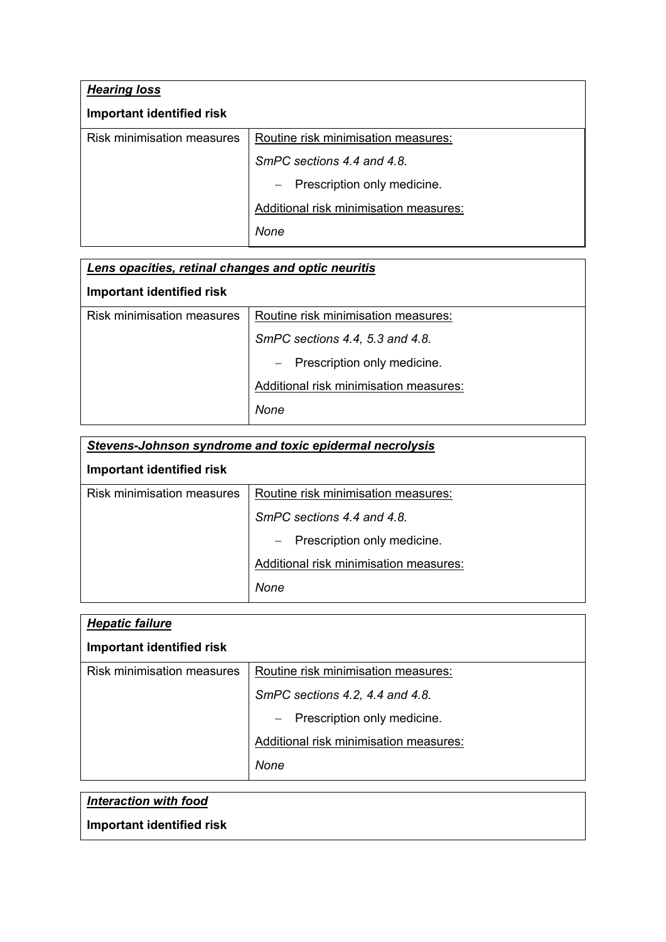| <b>Hearing loss</b>               |                                        |
|-----------------------------------|----------------------------------------|
| <b>Important identified risk</b>  |                                        |
| <b>Risk minimisation measures</b> | Routine risk minimisation measures:    |
|                                   | SmPC sections 4.4 and 4.8.             |
|                                   | Prescription only medicine.<br>$ \,$   |
|                                   | Additional risk minimisation measures: |
|                                   | None                                   |

| Lens opacities, retinal changes and optic neuritis |                                        |
|----------------------------------------------------|----------------------------------------|
| Important identified risk                          |                                        |
| <b>Risk minimisation measures</b>                  | Routine risk minimisation measures:    |
|                                                    | SmPC sections 4.4, 5.3 and 4.8.        |
|                                                    | Prescription only medicine.            |
|                                                    | Additional risk minimisation measures: |
|                                                    | None                                   |

| <b>Stevens-Johnson syndrome and toxic epidermal necrolysis</b> |                                        |
|----------------------------------------------------------------|----------------------------------------|
| Important identified risk                                      |                                        |
| <b>Risk minimisation measures</b>                              | Routine risk minimisation measures:    |
|                                                                | SmPC sections 4.4 and 4.8.             |
|                                                                | Prescription only medicine.<br>$ \,$   |
|                                                                | Additional risk minimisation measures: |
|                                                                | None                                   |

| <b>Hepatic failure</b>     |                                        |
|----------------------------|----------------------------------------|
| Important identified risk  |                                        |
| Risk minimisation measures | Routine risk minimisation measures:    |
|                            | SmPC sections 4.2, 4.4 and 4.8.        |
|                            | - Prescription only medicine.          |
|                            | Additional risk minimisation measures: |
|                            | None                                   |

| Interaction with food     |  |
|---------------------------|--|
| Important identified risk |  |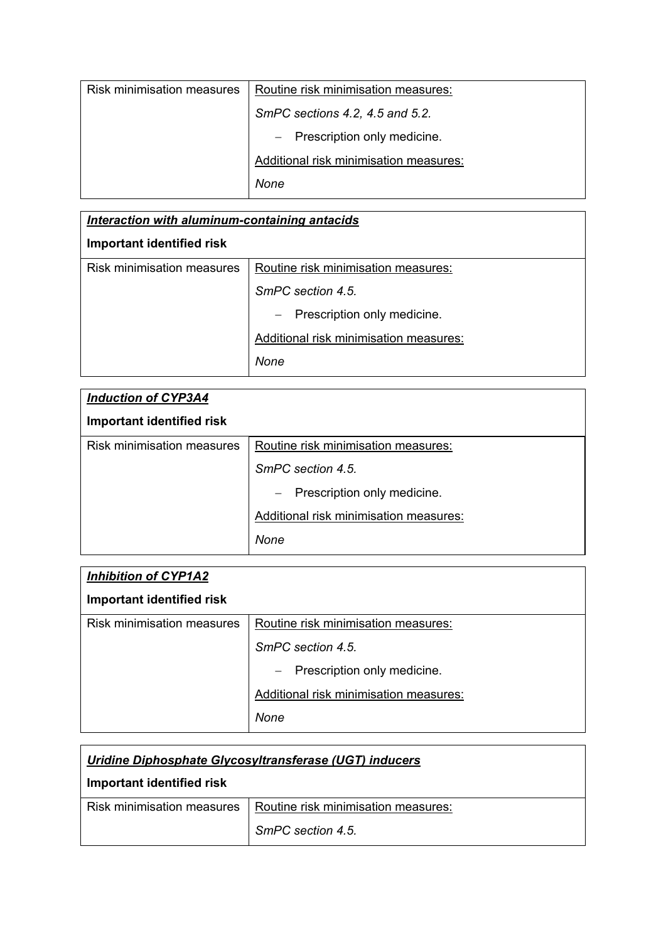| <b>Risk minimisation measures</b> | Routine risk minimisation measures:    |
|-----------------------------------|----------------------------------------|
|                                   | SmPC sections 4.2, 4.5 and 5.2.        |
|                                   | $-$ Prescription only medicine.        |
|                                   | Additional risk minimisation measures: |
|                                   | None                                   |

| Interaction with aluminum-containing antacids |                                        |
|-----------------------------------------------|----------------------------------------|
| Important identified risk                     |                                        |
| <b>Risk minimisation measures</b>             | Routine risk minimisation measures:    |
|                                               | SmPC section 4.5                       |
|                                               | - Prescription only medicine.          |
|                                               | Additional risk minimisation measures: |
|                                               | None                                   |

| <b>Induction of CYP3A4</b> |                                        |
|----------------------------|----------------------------------------|
| Important identified risk  |                                        |
| Risk minimisation measures | Routine risk minimisation measures:    |
|                            | SmPC section 4.5.                      |
|                            | - Prescription only medicine.          |
|                            | Additional risk minimisation measures: |
|                            | None                                   |

| <b>Inhibition of CYP1A2</b>       |                                        |
|-----------------------------------|----------------------------------------|
| Important identified risk         |                                        |
| <b>Risk minimisation measures</b> | Routine risk minimisation measures:    |
|                                   | SmPC section 4.5                       |
|                                   | - Prescription only medicine.          |
|                                   | Additional risk minimisation measures: |
|                                   | None                                   |

| Uridine Diphosphate Glycosyltransferase (UGT) inducers |                                     |
|--------------------------------------------------------|-------------------------------------|
| Important identified risk                              |                                     |
| <b>Risk minimisation measures</b>                      | Routine risk minimisation measures: |
|                                                        | SmPC section 4.5.                   |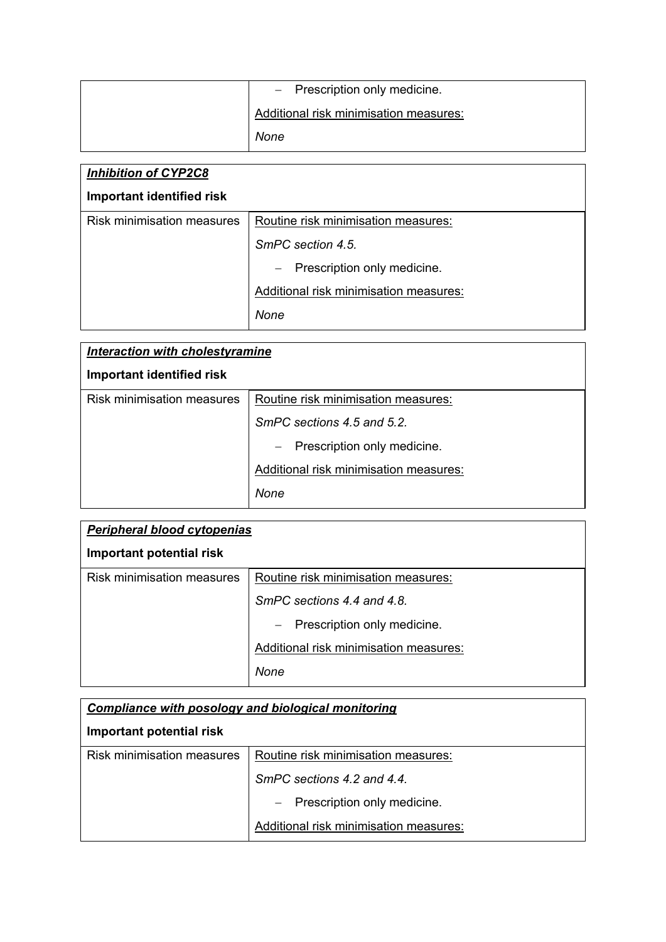| $-$ Prescription only medicine.        |
|----------------------------------------|
| Additional risk minimisation measures: |
| None                                   |

| <b>Inhibition of CYP2C8</b>       |                                        |
|-----------------------------------|----------------------------------------|
| Important identified risk         |                                        |
| <b>Risk minimisation measures</b> | Routine risk minimisation measures:    |
|                                   | SmPC section 4.5                       |
|                                   | - Prescription only medicine.          |
|                                   | Additional risk minimisation measures: |
|                                   | None                                   |

| Interaction with cholestyramine   |                                        |
|-----------------------------------|----------------------------------------|
| <b>Important identified risk</b>  |                                        |
| <b>Risk minimisation measures</b> | Routine risk minimisation measures:    |
|                                   | SmPC sections 4.5 and 5.2.             |
|                                   | - Prescription only medicine.          |
|                                   | Additional risk minimisation measures: |
|                                   | None                                   |

| Peripheral blood cytopenias       |                                        |
|-----------------------------------|----------------------------------------|
| Important potential risk          |                                        |
| <b>Risk minimisation measures</b> | Routine risk minimisation measures:    |
|                                   | SmPC sections 4.4 and 4.8.             |
|                                   | Prescription only medicine.            |
|                                   | Additional risk minimisation measures: |
|                                   | None                                   |

| Compliance with posology and biological monitoring |                                        |
|----------------------------------------------------|----------------------------------------|
| Important potential risk                           |                                        |
| <b>Risk minimisation measures</b>                  | Routine risk minimisation measures:    |
|                                                    | SmPC sections 4.2 and 4.4.             |
|                                                    | - Prescription only medicine.          |
|                                                    | Additional risk minimisation measures: |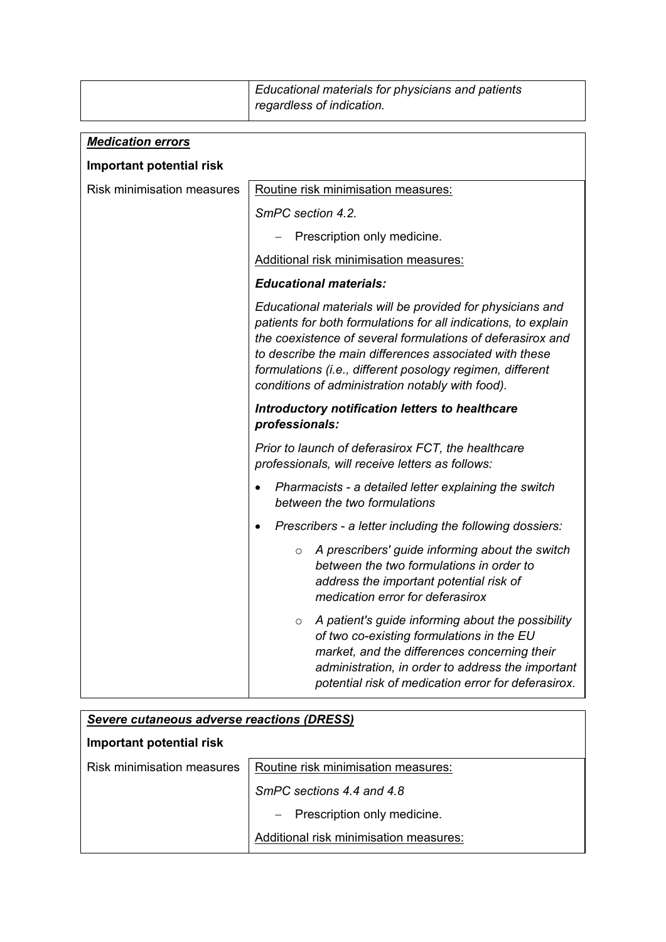| Educational materials for physicians and patients |
|---------------------------------------------------|
| regardless of indication.                         |

| <b>Medication errors</b>          |                                                                                                                                                                                                                                                                                                                                                                      |
|-----------------------------------|----------------------------------------------------------------------------------------------------------------------------------------------------------------------------------------------------------------------------------------------------------------------------------------------------------------------------------------------------------------------|
| <b>Important potential risk</b>   |                                                                                                                                                                                                                                                                                                                                                                      |
| <b>Risk minimisation measures</b> | Routine risk minimisation measures:                                                                                                                                                                                                                                                                                                                                  |
|                                   | SmPC section 4.2.                                                                                                                                                                                                                                                                                                                                                    |
|                                   | Prescription only medicine.                                                                                                                                                                                                                                                                                                                                          |
|                                   | Additional risk minimisation measures:                                                                                                                                                                                                                                                                                                                               |
|                                   | <b>Educational materials:</b>                                                                                                                                                                                                                                                                                                                                        |
|                                   | Educational materials will be provided for physicians and<br>patients for both formulations for all indications, to explain<br>the coexistence of several formulations of deferasirox and<br>to describe the main differences associated with these<br>formulations (i.e., different posology regimen, different<br>conditions of administration notably with food). |
|                                   | Introductory notification letters to healthcare<br>professionals:                                                                                                                                                                                                                                                                                                    |
|                                   | Prior to launch of deferasirox FCT, the healthcare<br>professionals, will receive letters as follows:                                                                                                                                                                                                                                                                |
|                                   | Pharmacists - a detailed letter explaining the switch<br>between the two formulations                                                                                                                                                                                                                                                                                |
|                                   | Prescribers - a letter including the following dossiers:<br>$\bullet$                                                                                                                                                                                                                                                                                                |
|                                   | A prescribers' guide informing about the switch<br>$\circ$<br>between the two formulations in order to<br>address the important potential risk of<br>medication error for deferasirox                                                                                                                                                                                |
|                                   | A patient's guide informing about the possibility<br>$\circ$<br>of two co-existing formulations in the EU<br>market, and the differences concerning their<br>administration, in order to address the important<br>potential risk of medication error for deferasirox.                                                                                                |

| Severe cutaneous adverse reactions (DRESS) |                                        |
|--------------------------------------------|----------------------------------------|
| Important potential risk                   |                                        |
| <b>Risk minimisation measures</b>          | Routine risk minimisation measures:    |
|                                            | SmPC sections 4.4 and 4.8              |
|                                            | - Prescription only medicine.          |
|                                            | Additional risk minimisation measures: |